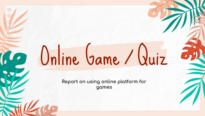# Online Game / Quiz

Report on using online platform for games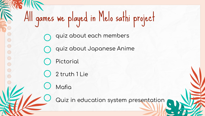# All games we played in Melo sathi project

- quiz about each members
- quiz about Japanese Anime
- Pictorial

 $\bigcirc$ 

 $\bigcirc$ 

 $\bigcirc$ 

 $\bigcirc$ 

- 2 truth 1 Lie
- Mafia

Quiz in education system presentation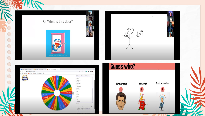#### Q, What is this door?







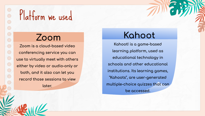$\bigcirc$  $\bigcirc$  $\bigcirc$  $\bigcirc$  $\bigcirc$ 

## Platform we used

## **Zoom**

**Zoom is a cloud-based video**  conferencing service you can **use to virtually meet with others either by video or audio-only or both, and it also can let you record those sessions to view later.**

## **Kahoot**

Kahoot! is a game-based learning platform, used as **educational technology in schools and other educational**   $i$ nstitutions. Its learning games, "Kahoots", are user-generated **multiple-choice quizzes that can be accessed.**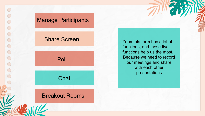#### Manage Participants

#### Share Screen

Poll

**Chat** 

#### Breakout Rooms

Zoom platform has a lot of functions, and these five functions help us the most. Because we need to record our meetings and share with each other presentations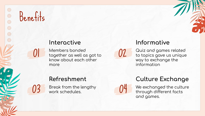# Benefits

03

#### Interactive

Members bonded together as well as got to know about each other more

#### Informative

UZ.

Quiz and games related to topics gave us unique way to exchange the information

#### Refreshment

Break from the lengthy work schedules.

**Culture Exchange** 

We exchanged the culture through different facts and games.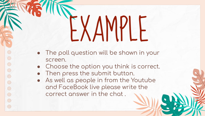# EXAMPLE

- The poll question will be shown in your screen.
- Choose the option you think is correct.
- Then press the submit button.

 $\bigcirc$ 

 $\bigcirc$ 

 $\circ$ 

 $\bigcirc$  $\bigcirc$ 

 $\bigcirc$ 

 $\bigcirc$ 

• As well as people in from the Youtube and FaceBook live please write the correct answer in the chat .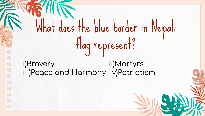What does the blue border in Nepali flag represent?

i)Bravery ii)Martyrs iii)Peace and Harmony iv)Patriotism

 $\bigcirc$ 

 $\bigcirc$ 

 $\overline{C}$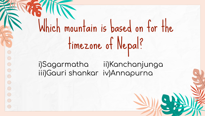Which mountain is based on for the timezone of Nepal?

i)Sagarmatha ii)Kanchanjunga iii)Gauri shankar iv)Annapurna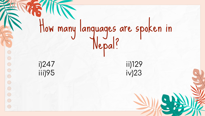

 $\bigcirc$ 

 $\bigcirc$ 

 $\bigcirc$ 

 $\bigcirc$ 

 $\bigcirc$ 

 $\bigcirc$ 

 $\bigcirc$ 

 $\bigcirc$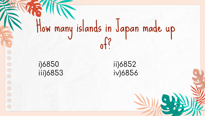# How many islands in Japan made up of?

i)6850 ii)6852 iii)6853 iv)6856

 $\bigcirc$ 

 $\bigcirc$ 

 $\bigcirc$ 

 $\bigcirc$ 

 $\bigcirc$ 

 $\bigcirc$ 

 $\bigcirc$ 

 $\bigcirc$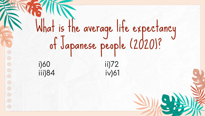What is the average life expectancy of Japanese people (2020)? i)60 ii)72 iii)84 iv)61

 $\bigcirc$ 

 $\bigcirc$ 

 $\bigcirc$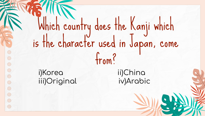Which country does the Kanji which is the character used in Japan, come from?

i)Korea iii)Original

 $\bigcirc$ 

 $\bigcirc$ 

 $\circ$ 

 $\bigcirc$ 

 $\bigcirc$ 

 $\bigcirc$ 

ii)China iv)Arabic